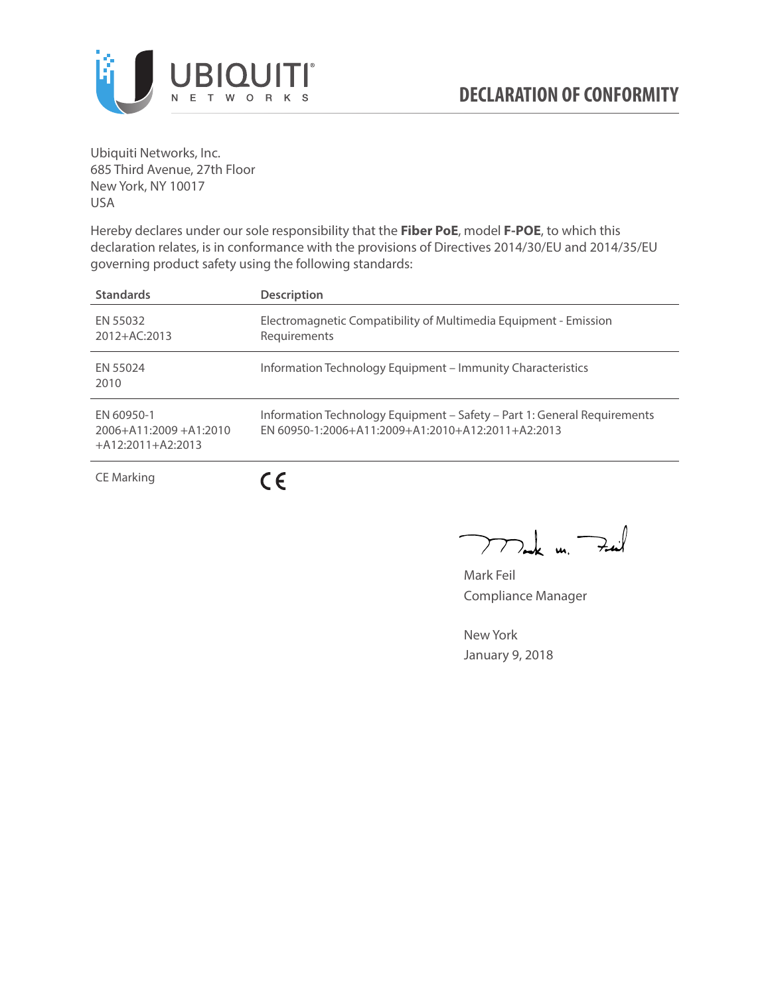

Ubiquiti Networks, Inc. 685 Third Avenue, 27th Floor New York, NY 10017 USA

Hereby declares under our sole responsibility that the **Fiber PoE**, model **F-POE**, to which this declaration relates, is in conformance with the provisions of Directives 2014/30/EU and 2014/35/EU governing product safety using the following standards:

| <b>Standards</b>                                                 | <b>Description</b>                                                                                                            |
|------------------------------------------------------------------|-------------------------------------------------------------------------------------------------------------------------------|
| EN 55032<br>2012+AC:2013                                         | Electromagnetic Compatibility of Multimedia Equipment - Emission<br>Requirements                                              |
| EN 55024<br>2010                                                 | Information Technology Equipment – Immunity Characteristics                                                                   |
| FN 60950-1<br>$2006 + A11:2009 + A1:2010$<br>$+A12:2011+A2:2013$ | Information Technology Equipment - Safety - Part 1: General Requirements<br>EN 60950-1:2006+A11:2009+A1:2010+A12:2011+A2:2013 |
| CE Marking                                                       |                                                                                                                               |

 $\overline{\phantom{a}}$ 

 $\sum_{k=1}^{\infty}$  un  $\sum_{k=1}^{\infty}$ 

Mark Feil Compliance Manager

New York January 9, 2018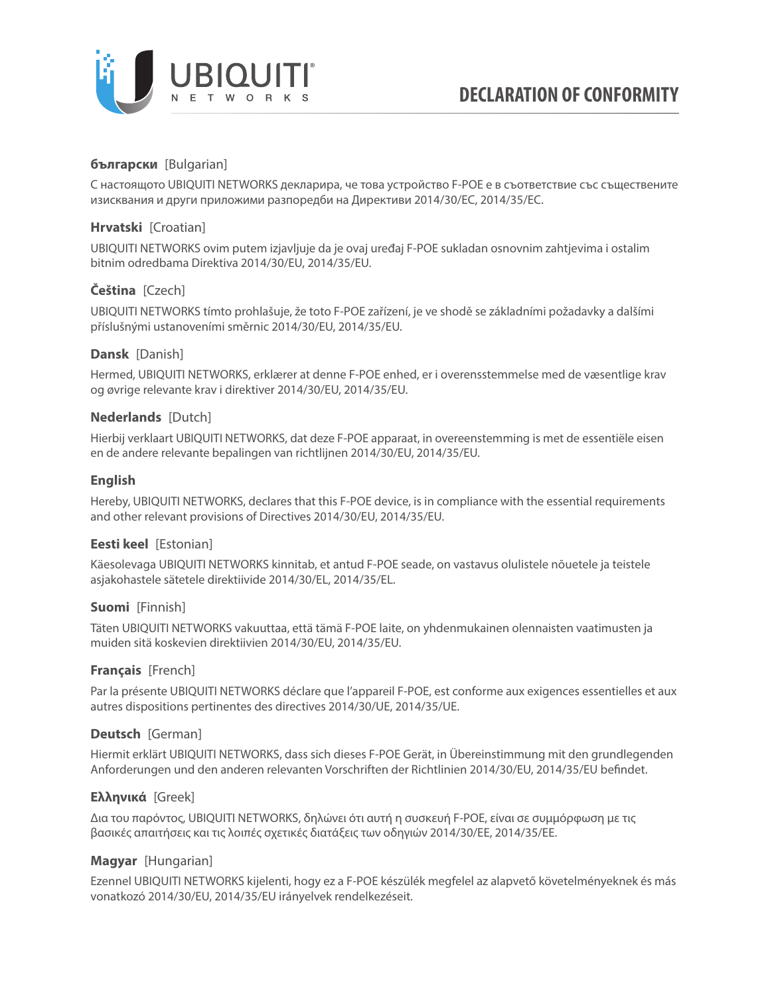

# **български** [Bulgarian]

С настоящото UBIQUITI NETWORKS декларира, че това устройство F-POE е в съответствие със съществените изисквания и други приложими разпоредби на Директиви 2014/30/ЕС, 2014/35/ЕС.

## **Hrvatski** [Croatian]

UBIQUITI NETWORKS ovim putem izjavljuje da je ovaj uređaj F-POE sukladan osnovnim zahtjevima i ostalim bitnim odredbama Direktiva 2014/30/EU, 2014/35/EU.

# **Čeština** [Czech]

UBIQUITI NETWORKS tímto prohlašuje, že toto F-POE zařízení, je ve shodě se základními požadavky a dalšími příslušnými ustanoveními směrnic 2014/30/EU, 2014/35/EU.

### **Dansk** [Danish]

Hermed, UBIQUITI NETWORKS, erklærer at denne F-POE enhed, er i overensstemmelse med de væsentlige krav og øvrige relevante krav i direktiver 2014/30/EU, 2014/35/EU.

### **Nederlands** [Dutch]

Hierbij verklaart UBIQUITI NETWORKS, dat deze F-POE apparaat, in overeenstemming is met de essentiële eisen en de andere relevante bepalingen van richtlijnen 2014/30/EU, 2014/35/EU.

### **English**

Hereby, UBIQUITI NETWORKS, declares that this F-POE device, is in compliance with the essential requirements and other relevant provisions of Directives 2014/30/EU, 2014/35/EU.

# **Eesti keel** [Estonian]

Käesolevaga UBIQUITI NETWORKS kinnitab, et antud F-POE seade, on vastavus olulistele nõuetele ja teistele asjakohastele sätetele direktiivide 2014/30/EL, 2014/35/EL.

### **Suomi** [Finnish]

Täten UBIQUITI NETWORKS vakuuttaa, että tämä F-POE laite, on yhdenmukainen olennaisten vaatimusten ja muiden sitä koskevien direktiivien 2014/30/EU, 2014/35/EU.

### **Français** [French]

Par la présente UBIQUITI NETWORKS déclare que l'appareil F-POE, est conforme aux exigences essentielles et aux autres dispositions pertinentes des directives 2014/30/UE, 2014/35/UE.

# **Deutsch** [German]

Hiermit erklärt UBIQUITI NETWORKS, dass sich dieses F-POE Gerät, in Übereinstimmung mit den grundlegenden Anforderungen und den anderen relevanten Vorschriften der Richtlinien 2014/30/EU, 2014/35/EU befindet.

# **Ελληνικά** [Greek]

Δια του παρόντος, UBIQUITI NETWORKS, δηλώνει ότι αυτή η συσκευή F-POE, είναι σε συμμόρφωση με τις βασικές απαιτήσεις και τις λοιπές σχετικές διατάξεις των οδηγιών 2014/30/EE, 2014/35/EE.

### **Magyar** [Hungarian]

Ezennel UBIQUITI NETWORKS kijelenti, hogy ez a F-POE készülék megfelel az alapvető követelményeknek és más vonatkozó 2014/30/EU, 2014/35/EU irányelvek rendelkezéseit.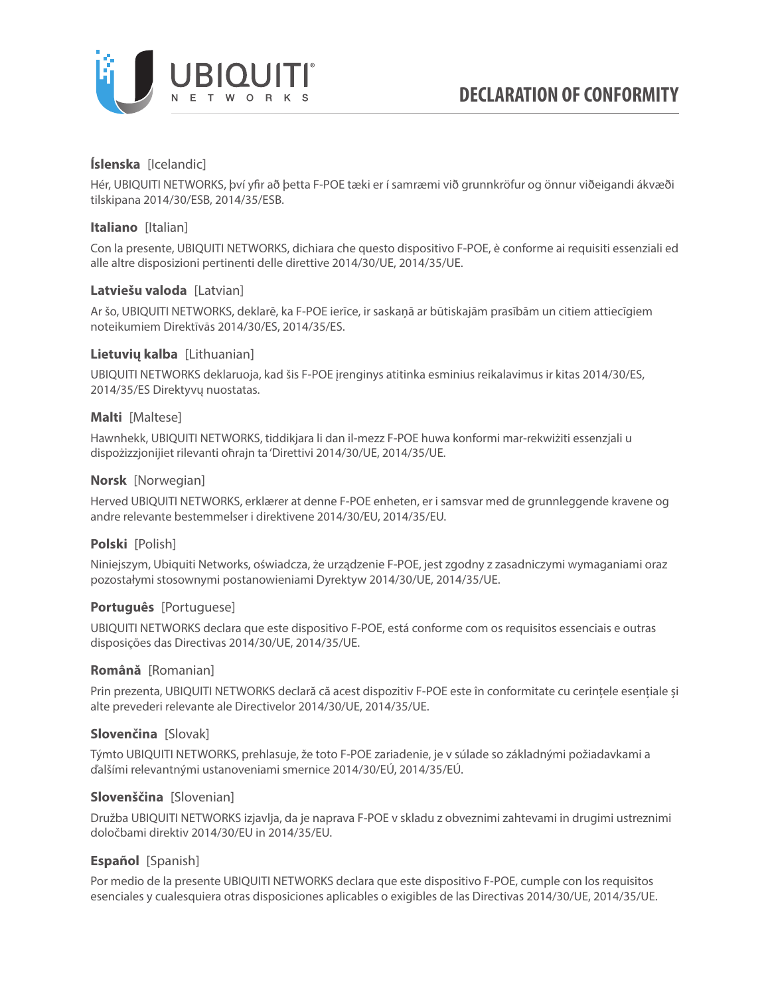

# **Íslenska** [Icelandic]

Hér, UBIQUITI NETWORKS, því yfir að þetta F-POE tæki er í samræmi við grunnkröfur og önnur viðeigandi ákvæði tilskipana 2014/30/ESB, 2014/35/ESB.

## **Italiano** [Italian]

Con la presente, UBIQUITI NETWORKS, dichiara che questo dispositivo F-POE, è conforme ai requisiti essenziali ed alle altre disposizioni pertinenti delle direttive 2014/30/UE, 2014/35/UE.

### **Latviešu valoda** [Latvian]

Ar šo, UBIQUITI NETWORKS, deklarē, ka F-POE ierīce, ir saskaņā ar būtiskajām prasībām un citiem attiecīgiem noteikumiem Direktīvās 2014/30/ES, 2014/35/ES.

### **Lietuvių kalba** [Lithuanian]

UBIQUITI NETWORKS deklaruoja, kad šis F-POE įrenginys atitinka esminius reikalavimus ir kitas 2014/30/ES, 2014/35/ES Direktyvų nuostatas.

### **Malti** [Maltese]

Hawnhekk, UBIQUITI NETWORKS, tiddikjara li dan il-mezz F-POE huwa konformi mar-rekwiżiti essenzjali u dispożizzjonijiet rilevanti oħrajn ta 'Direttivi 2014/30/UE, 2014/35/UE.

### **Norsk** [Norwegian]

Herved UBIQUITI NETWORKS, erklærer at denne F-POE enheten, er i samsvar med de grunnleggende kravene og andre relevante bestemmelser i direktivene 2014/30/EU, 2014/35/EU.

# **Polski** [Polish]

Niniejszym, Ubiquiti Networks, oświadcza, że urządzenie F-POE, jest zgodny z zasadniczymi wymaganiami oraz pozostałymi stosownymi postanowieniami Dyrektyw 2014/30/UE, 2014/35/UE.

# **Português** [Portuguese]

UBIQUITI NETWORKS declara que este dispositivo F-POE, está conforme com os requisitos essenciais e outras disposições das Directivas 2014/30/UE, 2014/35/UE.

### **Română** [Romanian]

Prin prezenta, UBIQUITI NETWORKS declară că acest dispozitiv F-POE este în conformitate cu cerințele esențiale și alte prevederi relevante ale Directivelor 2014/30/UE, 2014/35/UE.

# **Slovenčina** [Slovak]

Týmto UBIQUITI NETWORKS, prehlasuje, že toto F-POE zariadenie, je v súlade so základnými požiadavkami a ďalšími relevantnými ustanoveniami smernice 2014/30/EÚ, 2014/35/EÚ.

### **Slovenščina** [Slovenian]

Družba UBIQUITI NETWORKS izjavlja, da je naprava F-POE v skladu z obveznimi zahtevami in drugimi ustreznimi določbami direktiv 2014/30/EU in 2014/35/EU.

# **Español** [Spanish]

Por medio de la presente UBIQUITI NETWORKS declara que este dispositivo F-POE, cumple con los requisitos esenciales y cualesquiera otras disposiciones aplicables o exigibles de las Directivas 2014/30/UE, 2014/35/UE.